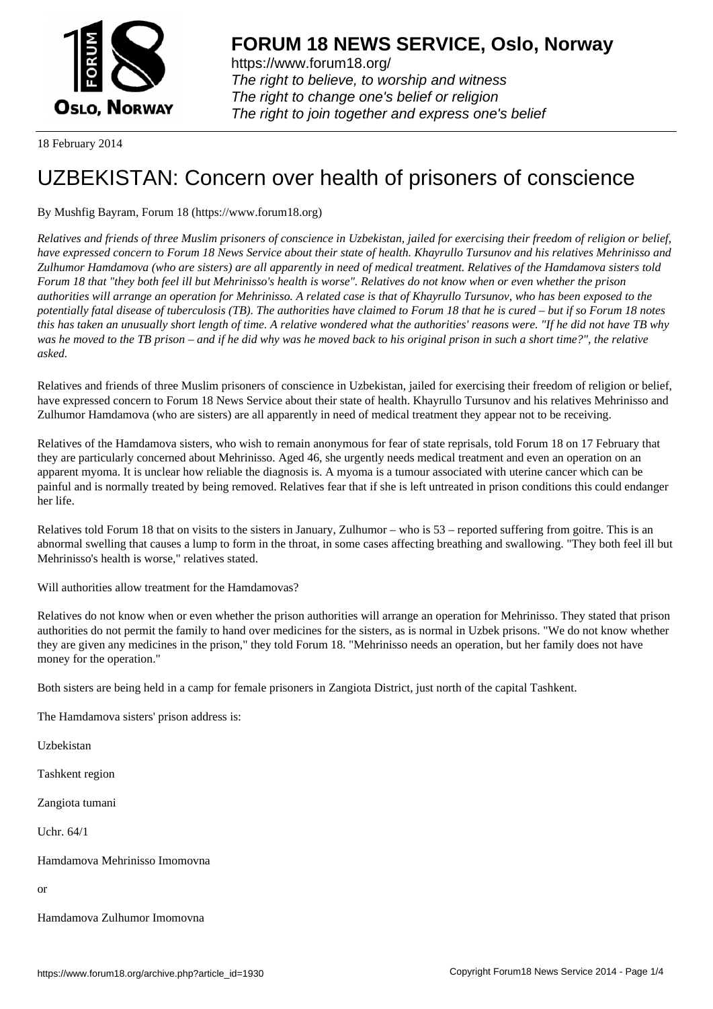

https://www.forum18.org/ The right to believe, to worship and witness The right to change one's belief or religion [The right to join together a](https://www.forum18.org/)nd express one's belief

18 February 2014

# [UZBEKISTAN:](https://www.forum18.org) Concern over health of prisoners of conscience

## By Mushfig Bayram, Forum 18 (https://www.forum18.org)

*Relatives and friends of three Muslim prisoners of conscience in Uzbekistan, jailed for exercising their freedom of religion or belief, have expressed concern to Forum 18 News Service about their state of health. Khayrullo Tursunov and his relatives Mehrinisso and Zulhumor Hamdamova (who are sisters) are all apparently in need of medical treatment. Relatives of the Hamdamova sisters told Forum 18 that "they both feel ill but Mehrinisso's health is worse". Relatives do not know when or even whether the prison authorities will arrange an operation for Mehrinisso. A related case is that of Khayrullo Tursunov, who has been exposed to the potentially fatal disease of tuberculosis (TB). The authorities have claimed to Forum 18 that he is cured – but if so Forum 18 notes this has taken an unusually short length of time. A relative wondered what the authorities' reasons were. "If he did not have TB why was he moved to the TB prison – and if he did why was he moved back to his original prison in such a short time?", the relative asked.*

Relatives and friends of three Muslim prisoners of conscience in Uzbekistan, jailed for exercising their freedom of religion or belief, have expressed concern to Forum 18 News Service about their state of health. Khayrullo Tursunov and his relatives Mehrinisso and Zulhumor Hamdamova (who are sisters) are all apparently in need of medical treatment they appear not to be receiving.

Relatives of the Hamdamova sisters, who wish to remain anonymous for fear of state reprisals, told Forum 18 on 17 February that they are particularly concerned about Mehrinisso. Aged 46, she urgently needs medical treatment and even an operation on an apparent myoma. It is unclear how reliable the diagnosis is. A myoma is a tumour associated with uterine cancer which can be painful and is normally treated by being removed. Relatives fear that if she is left untreated in prison conditions this could endanger her life.

Relatives told Forum 18 that on visits to the sisters in January, Zulhumor – who is 53 – reported suffering from goitre. This is an abnormal swelling that causes a lump to form in the throat, in some cases affecting breathing and swallowing. "They both feel ill but Mehrinisso's health is worse," relatives stated.

Will authorities allow treatment for the Hamdamovas?

Relatives do not know when or even whether the prison authorities will arrange an operation for Mehrinisso. They stated that prison authorities do not permit the family to hand over medicines for the sisters, as is normal in Uzbek prisons. "We do not know whether they are given any medicines in the prison," they told Forum 18. "Mehrinisso needs an operation, but her family does not have money for the operation."

Both sisters are being held in a camp for female prisoners in Zangiota District, just north of the capital Tashkent.

The Hamdamova sisters' prison address is:

Uzbekistan

Tashkent region

Zangiota tumani

Uchr. 64/1

Hamdamova Mehrinisso Imomovna

or

Hamdamova Zulhumor Imomovna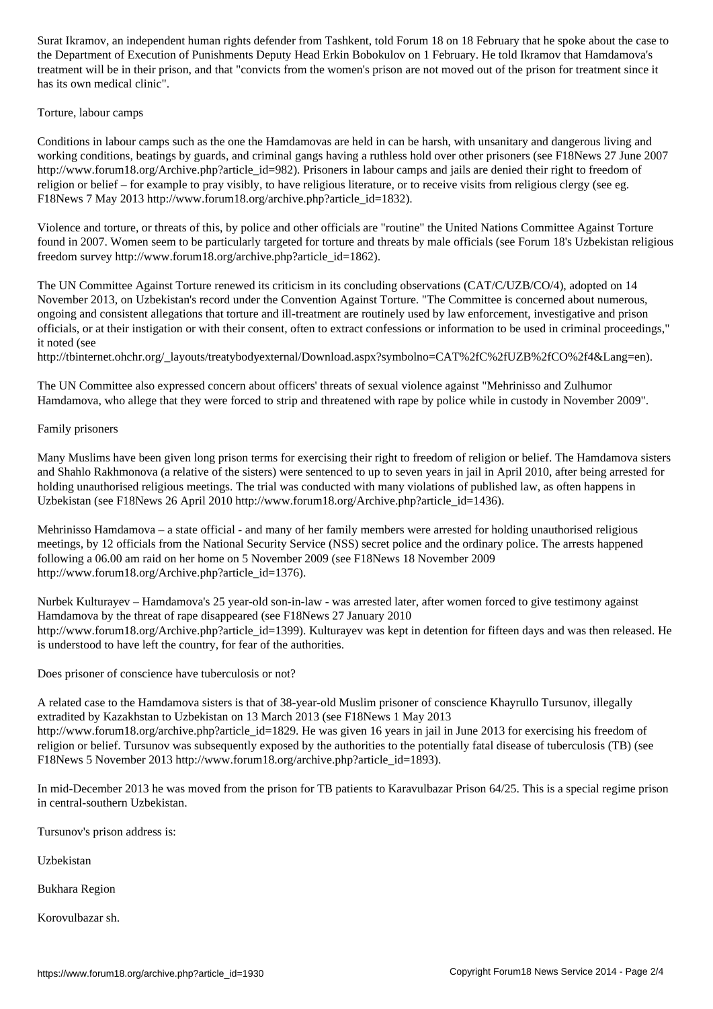the Departments Deputy Head Erkin Bobokulov on  $\mathcal{L}_{\mathcal{A}}$ treatment will be in their prison, and that "convicts from the women's prison are not moved out of the prison for treatment since it has its own medical clinic".

Torture, labour camps

Conditions in labour camps such as the one the Hamdamovas are held in can be harsh, with unsanitary and dangerous living and working conditions, beatings by guards, and criminal gangs having a ruthless hold over other prisoners (see F18News 27 June 2007 http://www.forum18.org/Archive.php?article\_id=982). Prisoners in labour camps and jails are denied their right to freedom of religion or belief – for example to pray visibly, to have religious literature, or to receive visits from religious clergy (see eg. F18News 7 May 2013 http://www.forum18.org/archive.php?article\_id=1832).

Violence and torture, or threats of this, by police and other officials are "routine" the United Nations Committee Against Torture found in 2007. Women seem to be particularly targeted for torture and threats by male officials (see Forum 18's Uzbekistan religious freedom survey http://www.forum18.org/archive.php?article\_id=1862).

The UN Committee Against Torture renewed its criticism in its concluding observations (CAT/C/UZB/CO/4), adopted on 14 November 2013, on Uzbekistan's record under the Convention Against Torture. "The Committee is concerned about numerous, ongoing and consistent allegations that torture and ill-treatment are routinely used by law enforcement, investigative and prison officials, or at their instigation or with their consent, often to extract confessions or information to be used in criminal proceedings," it noted (see

http://tbinternet.ohchr.org/\_layouts/treatybodyexternal/Download.aspx?symbolno=CAT%2fC%2fUZB%2fCO%2f4&Lang=en).

The UN Committee also expressed concern about officers' threats of sexual violence against "Mehrinisso and Zulhumor Hamdamova, who allege that they were forced to strip and threatened with rape by police while in custody in November 2009".

Family prisoners

Many Muslims have been given long prison terms for exercising their right to freedom of religion or belief. The Hamdamova sisters and Shahlo Rakhmonova (a relative of the sisters) were sentenced to up to seven years in jail in April 2010, after being arrested for holding unauthorised religious meetings. The trial was conducted with many violations of published law, as often happens in Uzbekistan (see F18News 26 April 2010 http://www.forum18.org/Archive.php?article\_id=1436).

Mehrinisso Hamdamova – a state official - and many of her family members were arrested for holding unauthorised religious meetings, by 12 officials from the National Security Service (NSS) secret police and the ordinary police. The arrests happened following a 06.00 am raid on her home on 5 November 2009 (see F18News 18 November 2009 http://www.forum18.org/Archive.php?article\_id=1376).

Nurbek Kulturayev – Hamdamova's 25 year-old son-in-law - was arrested later, after women forced to give testimony against Hamdamova by the threat of rape disappeared (see F18News 27 January 2010 http://www.forum18.org/Archive.php?article\_id=1399). Kulturayev was kept in detention for fifteen days and was then released. He is understood to have left the country, for fear of the authorities.

Does prisoner of conscience have tuberculosis or not?

A related case to the Hamdamova sisters is that of 38-year-old Muslim prisoner of conscience Khayrullo Tursunov, illegally extradited by Kazakhstan to Uzbekistan on 13 March 2013 (see F18News 1 May 2013 http://www.forum18.org/archive.php?article\_id=1829. He was given 16 years in jail in June 2013 for exercising his freedom of religion or belief. Tursunov was subsequently exposed by the authorities to the potentially fatal disease of tuberculosis (TB) (see F18News 5 November 2013 http://www.forum18.org/archive.php?article\_id=1893).

In mid-December 2013 he was moved from the prison for TB patients to Karavulbazar Prison 64/25. This is a special regime prison in central-southern Uzbekistan.

Tursunov's prison address is:

Uzbekistan

Bukhara Region

Korovulbazar sh.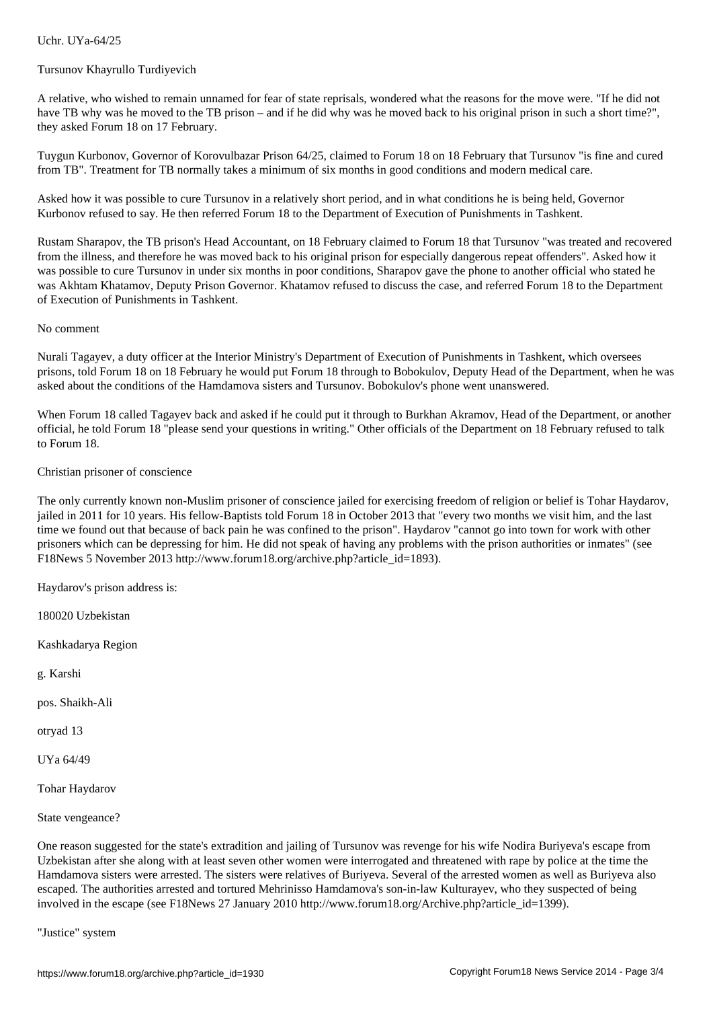#### Tursunov Khayrullo Turdiyevich

A relative, who wished to remain unnamed for fear of state reprisals, wondered what the reasons for the move were. "If he did not have TB why was he moved to the TB prison – and if he did why was he moved back to his original prison in such a short time?", they asked Forum 18 on 17 February.

Tuygun Kurbonov, Governor of Korovulbazar Prison 64/25, claimed to Forum 18 on 18 February that Tursunov "is fine and cured from TB". Treatment for TB normally takes a minimum of six months in good conditions and modern medical care.

Asked how it was possible to cure Tursunov in a relatively short period, and in what conditions he is being held, Governor Kurbonov refused to say. He then referred Forum 18 to the Department of Execution of Punishments in Tashkent.

Rustam Sharapov, the TB prison's Head Accountant, on 18 February claimed to Forum 18 that Tursunov "was treated and recovered from the illness, and therefore he was moved back to his original prison for especially dangerous repeat offenders". Asked how it was possible to cure Tursunov in under six months in poor conditions, Sharapov gave the phone to another official who stated he was Akhtam Khatamov, Deputy Prison Governor. Khatamov refused to discuss the case, and referred Forum 18 to the Department of Execution of Punishments in Tashkent.

#### No comment

Nurali Tagayev, a duty officer at the Interior Ministry's Department of Execution of Punishments in Tashkent, which oversees prisons, told Forum 18 on 18 February he would put Forum 18 through to Bobokulov, Deputy Head of the Department, when he was asked about the conditions of the Hamdamova sisters and Tursunov. Bobokulov's phone went unanswered.

When Forum 18 called Tagayev back and asked if he could put it through to Burkhan Akramov, Head of the Department, or another official, he told Forum 18 "please send your questions in writing." Other officials of the Department on 18 February refused to talk to Forum 18.

### Christian prisoner of conscience

The only currently known non-Muslim prisoner of conscience jailed for exercising freedom of religion or belief is Tohar Haydarov, jailed in 2011 for 10 years. His fellow-Baptists told Forum 18 in October 2013 that "every two months we visit him, and the last time we found out that because of back pain he was confined to the prison". Haydarov "cannot go into town for work with other prisoners which can be depressing for him. He did not speak of having any problems with the prison authorities or inmates" (see F18News 5 November 2013 http://www.forum18.org/archive.php?article\_id=1893).

Haydarov's prison address is:

180020 Uzbekistan

Kashkadarya Region

g. Karshi

pos. Shaikh-Ali

otryad 13

UYa 64/49

Tohar Haydarov

State vengeance?

One reason suggested for the state's extradition and jailing of Tursunov was revenge for his wife Nodira Buriyeva's escape from Uzbekistan after she along with at least seven other women were interrogated and threatened with rape by police at the time the Hamdamova sisters were arrested. The sisters were relatives of Buriyeva. Several of the arrested women as well as Buriyeva also escaped. The authorities arrested and tortured Mehrinisso Hamdamova's son-in-law Kulturayev, who they suspected of being involved in the escape (see F18News 27 January 2010 http://www.forum18.org/Archive.php?article\_id=1399).

"Justice" system